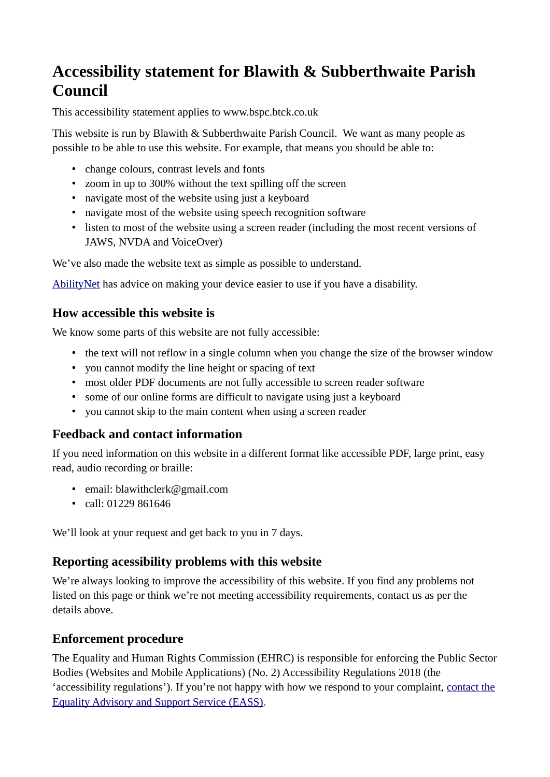# **Accessibility statement for Blawith & Subberthwaite Parish Council**

This accessibility statement applies to www.bspc.btck.co.uk

 This website is run by Blawith & Subberthwaite Parish Council. We want as many people as possible to be able to use this website. For example, that means you should be able to:

- change colours, contrast levels and fonts
- zoom in up to 300% without the text spilling off the screen
- navigate most of the website using just a keyboard
- navigate most of the website using speech recognition software
- listen to most of the website using a screen reader (including the most recent versions of JAWS, NVDA and VoiceOver)

We've also made the website text as simple as possible to understand.

[AbilityNet](https://mcmw.abilitynet.org.uk/) has advice on making your device easier to use if you have a disability.

### **How accessible this website is**

We know some parts of this website are not fully accessible:

- the text will not reflow in a single column when you change the size of the browser window
- • you cannot modify the line height or spacing of text
- most older PDF documents are not fully accessible to screen reader software
- some of our online forms are difficult to navigate using just a keyboard
- you cannot skip to the main content when using a screen reader

### **Feedback and contact information**

If you need information on this website in a different format like accessible PDF, large print, easy read, audio recording or braille:

- email: blawithclerk@gmail.com
- call: 01229 861646

We'll look at your request and get back to you in 7 days.

### **Reporting acessibility problems with this website**

We're always looking to improve the accessibility of this website. If you find any problems not listed on this page or think we're not meeting accessibility requirements, contact us as per the details above.

### **Enforcement procedure**

The Equality and Human Rights Commission (EHRC) is responsible for enforcing the Public Sector Bodies (Websites and Mobile Applications) (No. 2) Accessibility Regulations 2018 (the 'accessibility regulations'). If you're not happy with how we respond to your complaint, contact the [Equality Advisory and Support Service \(EASS\).](https://www.equalityadvisoryservice.com/)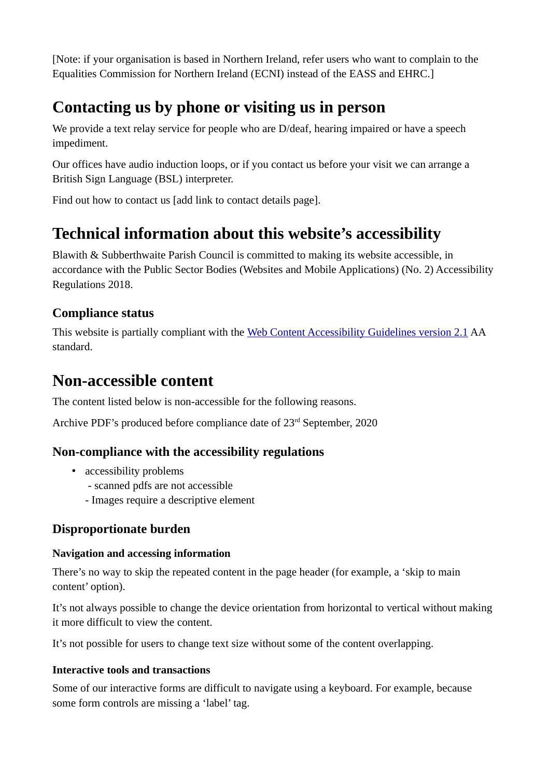[Note: if your organisation is based in Northern Ireland, refer users who want to complain to the Equalities Commission for Northern Ireland (ECNI) instead of the EASS and EHRC.]

# **Contacting us by phone or visiting us in person**

We provide a text relay service for people who are D/deaf, hearing impaired or have a speech impediment.

Our offices have audio induction loops, or if you contact us before your visit we can arrange a British Sign Language (BSL) interpreter.

Find out how to contact us [add link to contact details page].

# **Technical information about this website's accessibility**

Blawith & Subberthwaite Parish Council is committed to making its website accessible, in accordance with the Public Sector Bodies (Websites and Mobile Applications) (No. 2) Accessibility Regulations 2018.

### **Compliance status**

This website is partially compliant with the [Web Content Accessibility Guidelines version 2.1](https://www.w3.org/TR/WCAG21/) AA standard.

## **Non-accessible content**

The content listed below is non-accessible for the following reasons.

Archive PDF's produced before compliance date of 23<sup>rd</sup> September, 2020

### **Non-compliance with the accessibility regulations**

- accessibility problems
	- scanned pdfs are not accessible
	- Images require a descriptive element

### **Disproportionate burden**

#### **Navigation and accessing information**

There's no way to skip the repeated content in the page header (for example, a 'skip to main content' option).

It's not always possible to change the device orientation from horizontal to vertical without making it more difficult to view the content.

It's not possible for users to change text size without some of the content overlapping.

#### **Interactive tools and transactions**

Some of our interactive forms are difficult to navigate using a keyboard. For example, because some form controls are missing a 'label' tag.